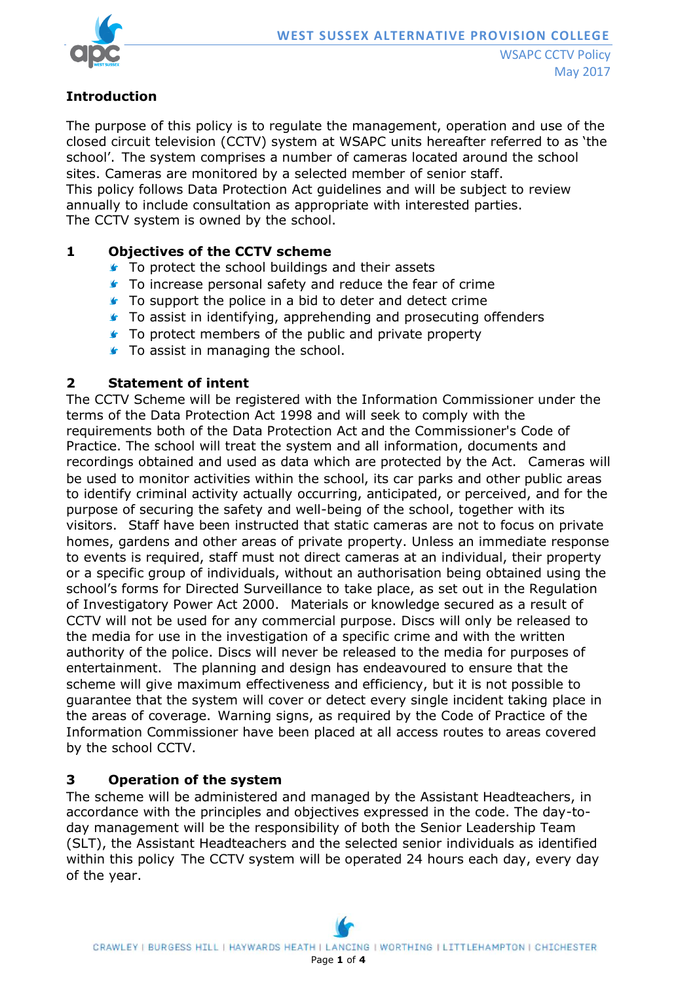

# **Introduction**

The purpose of this policy is to regulate the management, operation and use of the closed circuit television (CCTV) system at WSAPC units hereafter referred to as 'the school'. The system comprises a number of cameras located around the school sites. Cameras are monitored by a selected member of senior staff. This policy follows Data Protection Act guidelines and will be subject to review annually to include consultation as appropriate with interested parties. The CCTV system is owned by the school.

## **1 Objectives of the CCTV scheme**

- **■** To protect the school buildings and their assets
- **T** To increase personal safety and reduce the fear of crime
- **To support the police in a bid to deter and detect crime**
- **To assist in identifying, apprehending and prosecuting offenders**
- **To protect members of the public and private property**
- **To assist in managing the school.**

## **2 Statement of intent**

The CCTV Scheme will be registered with the Information Commissioner under the terms of the Data Protection Act 1998 and will seek to comply with the requirements both of the Data Protection Act and the Commissioner's Code of Practice. The school will treat the system and all information, documents and recordings obtained and used as data which are protected by the Act. Cameras will be used to monitor activities within the school, its car parks and other public areas to identify criminal activity actually occurring, anticipated, or perceived, and for the purpose of securing the safety and well-being of the school, together with its visitors. Staff have been instructed that static cameras are not to focus on private homes, gardens and other areas of private property. Unless an immediate response to events is required, staff must not direct cameras at an individual, their property or a specific group of individuals, without an authorisation being obtained using the school's forms for Directed Surveillance to take place, as set out in the Regulation of Investigatory Power Act 2000. Materials or knowledge secured as a result of CCTV will not be used for any commercial purpose. Discs will only be released to the media for use in the investigation of a specific crime and with the written authority of the police. Discs will never be released to the media for purposes of entertainment. The planning and design has endeavoured to ensure that the scheme will give maximum effectiveness and efficiency, but it is not possible to guarantee that the system will cover or detect every single incident taking place in the areas of coverage. Warning signs, as required by the Code of Practice of the Information Commissioner have been placed at all access routes to areas covered by the school CCTV.

### **3 Operation of the system**

The scheme will be administered and managed by the Assistant Headteachers, in accordance with the principles and objectives expressed in the code. The day-today management will be the responsibility of both the Senior Leadership Team (SLT), the Assistant Headteachers and the selected senior individuals as identified within this policy The CCTV system will be operated 24 hours each day, every day of the year.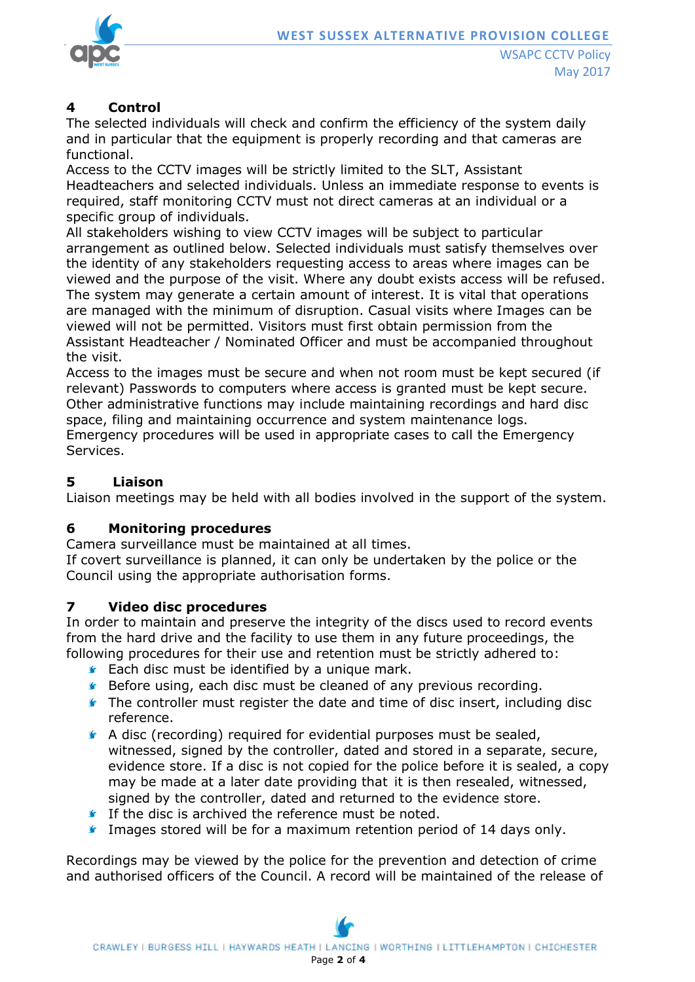

## **4 Control**

The selected individuals will check and confirm the efficiency of the system daily and in particular that the equipment is properly recording and that cameras are functional.

Access to the CCTV images will be strictly limited to the SLT, Assistant Headteachers and selected individuals. Unless an immediate response to events is required, staff monitoring CCTV must not direct cameras at an individual or a specific group of individuals.

All stakeholders wishing to view CCTV images will be subject to particular arrangement as outlined below. Selected individuals must satisfy themselves over the identity of any stakeholders requesting access to areas where images can be viewed and the purpose of the visit. Where any doubt exists access will be refused. The system may generate a certain amount of interest. It is vital that operations are managed with the minimum of disruption. Casual visits where Images can be viewed will not be permitted. Visitors must first obtain permission from the Assistant Headteacher / Nominated Officer and must be accompanied throughout the visit.

Access to the images must be secure and when not room must be kept secured (if relevant) Passwords to computers where access is granted must be kept secure. Other administrative functions may include maintaining recordings and hard disc space, filing and maintaining occurrence and system maintenance logs.

Emergency procedures will be used in appropriate cases to call the Emergency Services.

## **5 Liaison**

Liaison meetings may be held with all bodies involved in the support of the system.

### **6 Monitoring procedures**

Camera surveillance must be maintained at all times.

If covert surveillance is planned, it can only be undertaken by the police or the Council using the appropriate authorisation forms.

### **7 Video disc procedures**

In order to maintain and preserve the integrity of the discs used to record events from the hard drive and the facility to use them in any future proceedings, the following procedures for their use and retention must be strictly adhered to:

- **Each disc must be identified by a unique mark.**
- **Before using, each disc must be cleaned of any previous recording.**
- The controller must register the date and time of disc insert, including disc reference.
- A disc (recording) required for evidential purposes must be sealed, witnessed, signed by the controller, dated and stored in a separate, secure, evidence store. If a disc is not copied for the police before it is sealed, a copy may be made at a later date providing that it is then resealed, witnessed, signed by the controller, dated and returned to the evidence store.
- **If the disc is archived the reference must be noted.**
- **Images stored will be for a maximum retention period of 14 days only.**

Recordings may be viewed by the police for the prevention and detection of crime and authorised officers of the Council. A record will be maintained of the release of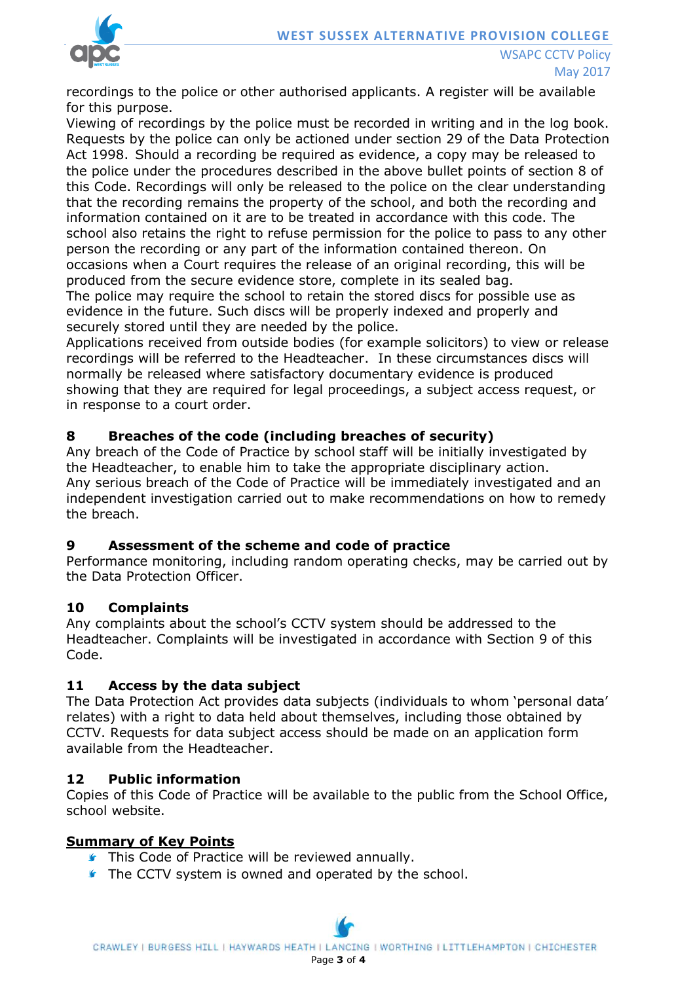

recordings to the police or other authorised applicants. A register will be available for this purpose.

Viewing of recordings by the police must be recorded in writing and in the log book. Requests by the police can only be actioned under section 29 of the Data Protection Act 1998. Should a recording be required as evidence, a copy may be released to the police under the procedures described in the above bullet points of section 8 of this Code. Recordings will only be released to the police on the clear understanding that the recording remains the property of the school, and both the recording and information contained on it are to be treated in accordance with this code. The school also retains the right to refuse permission for the police to pass to any other person the recording or any part of the information contained thereon. On occasions when a Court requires the release of an original recording, this will be produced from the secure evidence store, complete in its sealed bag.

The police may require the school to retain the stored discs for possible use as evidence in the future. Such discs will be properly indexed and properly and securely stored until they are needed by the police.

Applications received from outside bodies (for example solicitors) to view or release recordings will be referred to the Headteacher. In these circumstances discs will normally be released where satisfactory documentary evidence is produced showing that they are required for legal proceedings, a subject access request, or in response to a court order.

### **8 Breaches of the code (including breaches of security)**

Any breach of the Code of Practice by school staff will be initially investigated by the Headteacher, to enable him to take the appropriate disciplinary action. Any serious breach of the Code of Practice will be immediately investigated and an independent investigation carried out to make recommendations on how to remedy the breach.

#### **9 Assessment of the scheme and code of practice**

Performance monitoring, including random operating checks, may be carried out by the Data Protection Officer.

### **10 Complaints**

Any complaints about the school's CCTV system should be addressed to the Headteacher. Complaints will be investigated in accordance with Section 9 of this Code.

#### **11 Access by the data subject**

The Data Protection Act provides data subjects (individuals to whom 'personal data' relates) with a right to data held about themselves, including those obtained by CCTV. Requests for data subject access should be made on an application form available from the Headteacher.

#### **12 Public information**

Copies of this Code of Practice will be available to the public from the School Office, school website.

#### **Summary of Key Points**

- **This Code of Practice will be reviewed annually.**
- **The CCTV system is owned and operated by the school.**